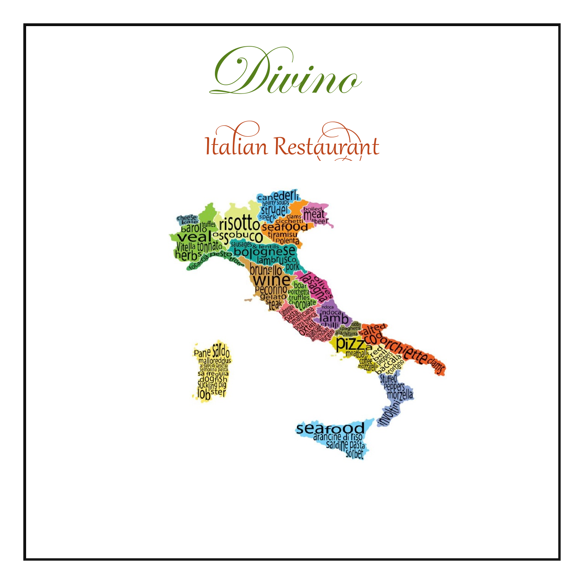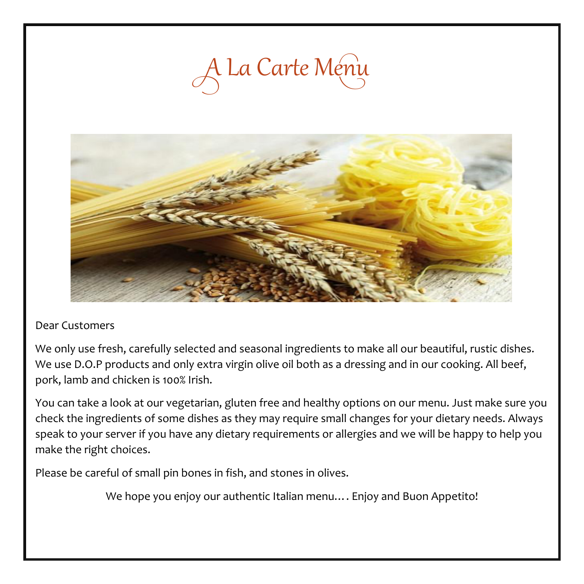



#### Dear Customers

We only use fresh, carefully selected and seasonal ingredients to make all our beautiful, rustic dishes. We use D.O.P products and only extra virgin olive oil both as a dressing and in our cooking. All beef, pork, lamb and chicken is 100% Irish.

You can take a look at our vegetarian, gluten free and healthy options on our menu. Just make sure you check the ingredients of some dishes as they may require small changes for your dietary needs. Always speak to your server if you have any dietary requirements or allergies and we will be happy to help you make the right choices.

Please be careful of small pin bones in fish, and stones in olives.

We hope you enjoy our authentic Italian menu…. Enjoy and Buon Appetito!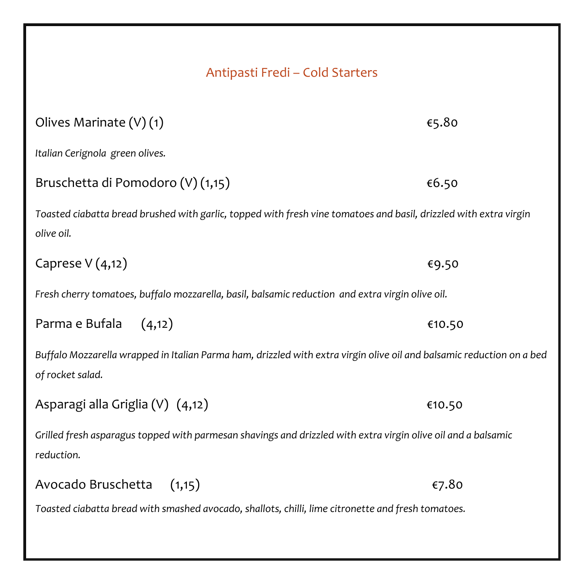| Antipasti Fredi - Cold Starters                                                                                                           |        |  |
|-------------------------------------------------------------------------------------------------------------------------------------------|--------|--|
| Olives Marinate (V) (1)                                                                                                                   | €5.80  |  |
| Italian Cerignola green olives.                                                                                                           |        |  |
| Bruschetta di Pomodoro (V) (1,15)                                                                                                         | €6.50  |  |
| Toasted ciabatta bread brushed with garlic, topped with fresh vine tomatoes and basil, drizzled with extra virgin<br>olive oil.           |        |  |
| Caprese $V(4,12)$                                                                                                                         | €9.50  |  |
| Fresh cherry tomatoes, buffalo mozzarella, basil, balsamic reduction and extra virgin olive oil.                                          |        |  |
| Parma e Bufala<br>(4,12)                                                                                                                  | €10.50 |  |
| Buffalo Mozzarella wrapped in Italian Parma ham, drizzled with extra virgin olive oil and balsamic reduction on a bed<br>of rocket salad. |        |  |
| Asparagi alla Griglia (V) (4,12)                                                                                                          | €10.50 |  |
| Grilled fresh asparagus topped with parmesan shavings and drizzled with extra virgin olive oil and a balsamic<br>reduction.               |        |  |
| (1,15)<br>Avocado Bruschetta                                                                                                              | €7.80  |  |
| Toasted ciabatta bread with smashed avocado, shallots, chilli, lime citronette and fresh tomatoes.                                        |        |  |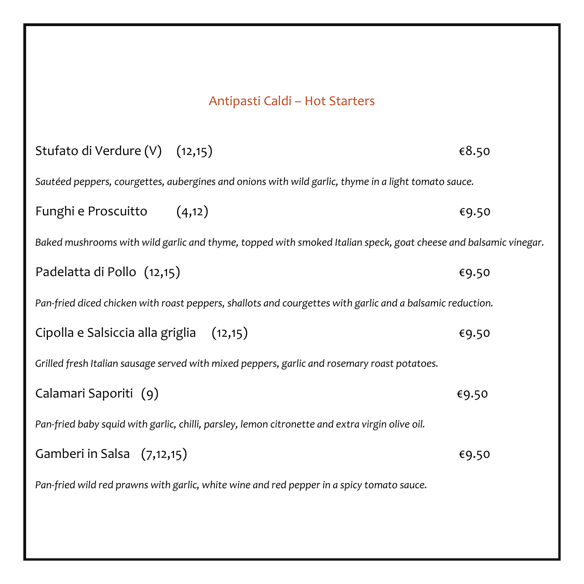# Antipasti Caldi – Hot Starters

| Stufato di Verdure (V) (12,15)                                                                                  | €8.50 |  |
|-----------------------------------------------------------------------------------------------------------------|-------|--|
| Sautéed peppers, courgettes, aubergines and onions with wild garlic, thyme in a light tomato sauce.             |       |  |
| Funghi e Proscuitto (4,12)                                                                                      | €9.50 |  |
| Baked mushrooms with wild garlic and thyme, topped with smoked Italian speck, goat cheese and balsamic vinegar. |       |  |
| Padelatta di Pollo (12,15)                                                                                      | €9.50 |  |
| Pan-fried diced chicken with roast peppers, shallots and courgettes with garlic and a balsamic reduction.       |       |  |
| Cipolla e Salsiccia alla griglia (12,15)                                                                        | €9.50 |  |
| Grilled fresh Italian sausage served with mixed peppers, garlic and rosemary roast potatoes.                    |       |  |
| Calamari Saporiti (9)                                                                                           | €9.50 |  |
| Pan-fried baby squid with garlic, chilli, parsley, lemon citronette and extra virgin olive oil.                 |       |  |
| Gamberi in Salsa (7,12,15)                                                                                      | €9.50 |  |
| Pan-fried wild red prawns with garlic, white wine and red pepper in a spicy tomato sauce.                       |       |  |
|                                                                                                                 |       |  |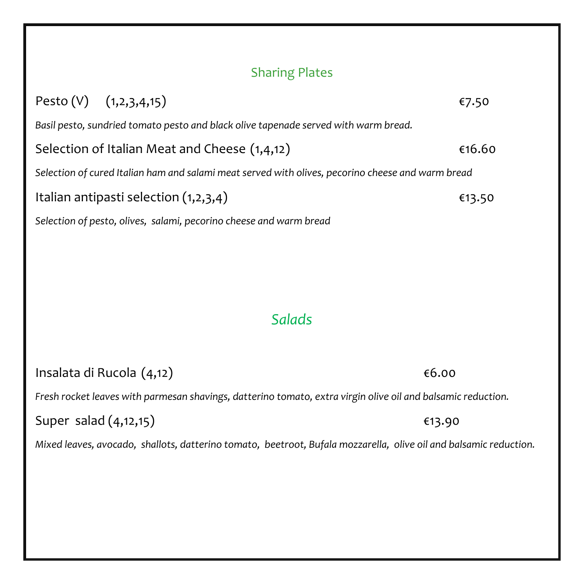### Sharing Plates

| Pesto (V) $(1,2,3,4,15)$ |                                                                                                   | €7.50  |
|--------------------------|---------------------------------------------------------------------------------------------------|--------|
|                          | Basil pesto, sundried tomato pesto and black olive tapenade served with warm bread.               |        |
|                          | Selection of Italian Meat and Cheese (1,4,12)                                                     | €16.60 |
|                          | Selection of cured Italian ham and salami meat served with olives, pecorino cheese and warm bread |        |
|                          | Italian antipasti selection $(1,2,3,4)$                                                           | €13.50 |
|                          | Selection of pesto, olives, salami, pecorino cheese and warm bread                                |        |
|                          |                                                                                                   |        |
|                          |                                                                                                   |        |
|                          |                                                                                                   |        |
|                          |                                                                                                   |        |

## *Salads*

| Insalata di Rucola (4,12) | €6.00 |
|---------------------------|-------|
|---------------------------|-------|

#### *Fresh rocket leaves with parmesan shavings, datterino tomato, extra virgin olive oil and balsamic reduction.*

Super salad  $(4, 12, 15)$   $\epsilon$ 13.90

*Mixed leaves, avocado, shallots, datterino tomato, beetroot, Bufala mozzarella, olive oil and balsamic reduction.*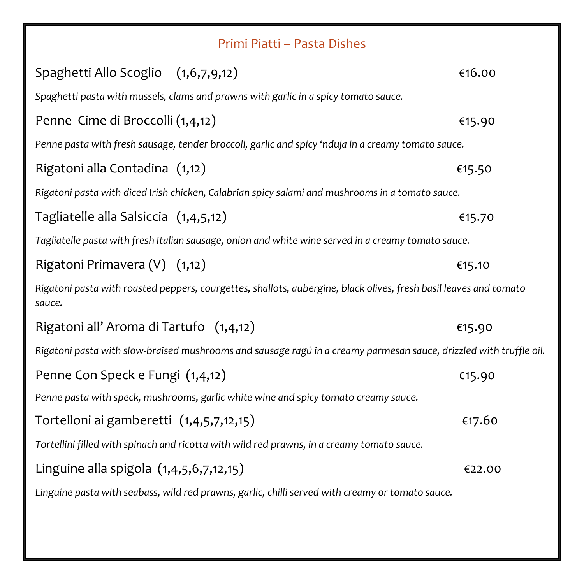|                                                                                                                    | Primi Piatti - Pasta Dishes                                                                                       |        |
|--------------------------------------------------------------------------------------------------------------------|-------------------------------------------------------------------------------------------------------------------|--------|
| Spaghetti Allo Scoglio (1,6,7,9,12)                                                                                |                                                                                                                   | €16.00 |
|                                                                                                                    | Spaghetti pasta with mussels, clams and prawns with garlic in a spicy tomato sauce.                               |        |
| Penne Cime di Broccolli (1,4,12)                                                                                   |                                                                                                                   | €15.90 |
|                                                                                                                    | Penne pasta with fresh sausage, tender broccoli, garlic and spicy 'nduja in a creamy tomato sauce.                |        |
| Rigatoni alla Contadina (1,12)                                                                                     |                                                                                                                   | €15.50 |
|                                                                                                                    | Rigatoni pasta with diced Irish chicken, Calabrian spicy salami and mushrooms in a tomato sauce.                  |        |
| Tagliatelle alla Salsiccia (1,4,5,12)                                                                              |                                                                                                                   | €15.70 |
|                                                                                                                    | Tagliatelle pasta with fresh Italian sausage, onion and white wine served in a creamy tomato sauce.               |        |
| Rigatoni Primavera (V) (1,12)                                                                                      |                                                                                                                   | €15.10 |
| sauce.                                                                                                             | Rigatoni pasta with roasted peppers, courgettes, shallots, aubergine, black olives, fresh basil leaves and tomato |        |
| Rigatoni all' Aroma di Tartufo (1,4,12)                                                                            |                                                                                                                   | €15.90 |
| Rigatoni pasta with slow-braised mushrooms and sausage ragú in a creamy parmesan sauce, drizzled with truffle oil. |                                                                                                                   |        |
| Penne Con Speck e Fungi (1,4,12)                                                                                   |                                                                                                                   | €15.90 |
|                                                                                                                    | Penne pasta with speck, mushrooms, garlic white wine and spicy tomato creamy sauce.                               |        |
| Tortelloni ai gamberetti (1,4,5,7,12,15)                                                                           |                                                                                                                   | €17.60 |
|                                                                                                                    | Tortellini filled with spinach and ricotta with wild red prawns, in a creamy tomato sauce.                        |        |
| Linguine alla spigola (1,4,5,6,7,12,15)                                                                            |                                                                                                                   | €22.00 |
|                                                                                                                    | Linguine pasta with seabass, wild red prawns, garlic, chilli served with creamy or tomato sauce.                  |        |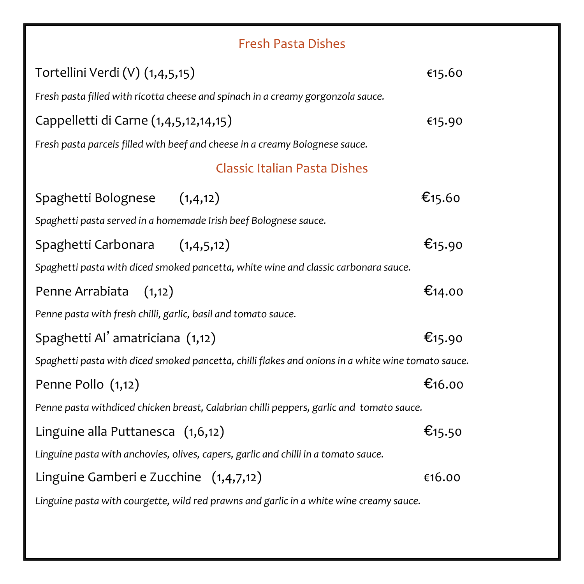### Fresh Pasta Dishes

| Tortellini Verdi (V) (1,4,5,15)                                                                    | €15.60              |  |
|----------------------------------------------------------------------------------------------------|---------------------|--|
| Fresh pasta filled with ricotta cheese and spinach in a creamy gorgonzola sauce.                   |                     |  |
| Cappelletti di Carne (1,4,5,12,14,15)                                                              | €15.90              |  |
| Fresh pasta parcels filled with beef and cheese in a creamy Bolognese sauce.                       |                     |  |
| <b>Classic Italian Pasta Dishes</b>                                                                |                     |  |
| Spaghetti Bolognese (1,4,12)                                                                       | $\epsilon$ 15.60    |  |
| Spaghetti pasta served in a homemade Irish beef Bolognese sauce.                                   |                     |  |
| Spaghetti Carbonara (1,4,5,12)                                                                     | € <sub>15</sub> .90 |  |
| Spaghetti pasta with diced smoked pancetta, white wine and classic carbonara sauce.                |                     |  |
| Penne Arrabiata<br>(1,12)                                                                          | €14.00              |  |
| Penne pasta with fresh chilli, garlic, basil and tomato sauce.                                     |                     |  |
| Spaghetti Al' amatriciana (1,12)                                                                   | € <sub>15</sub> .90 |  |
| Spaghetti pasta with diced smoked pancetta, chilli flakes and onions in a white wine tomato sauce. |                     |  |
| Penne Pollo (1,12)                                                                                 | €16.00              |  |
| Penne pasta withdiced chicken breast, Calabrian chilli peppers, garlic and tomato sauce.           |                     |  |
| Linguine alla Puttanesca (1,6,12)                                                                  | €15.50              |  |
| Linguine pasta with anchovies, olives, capers, garlic and chilli in a tomato sauce.                |                     |  |
| Linguine Gamberi e Zucchine $(1,4,7,12)$                                                           | €16.00              |  |
| Linguine pasta with courgette, wild red prawns and garlic in a white wine creamy sauce.            |                     |  |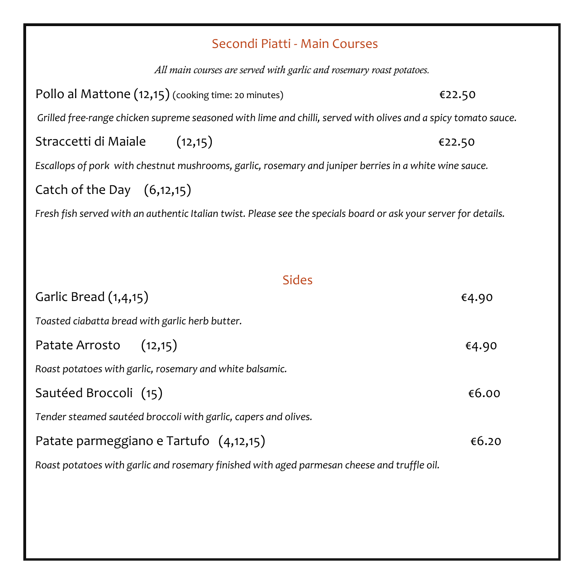#### Secondi Piatti - Main Courses

*All main courses are served with garlic and rosemary roast potatoes.* Pollo al Mattone  $(12,15)$  (cooking time: 20 minutes)  $\epsilon$ 22.50 *Grilled free-range chicken supreme seasoned with lime and chilli, served with olives and a spicy tomato sauce.* Straccetti di Maiale (12,15) €22.50 *Escallops of pork with chestnut mushrooms, garlic, rosemary and juniper berries in a white wine sauce.* Catch of the Day (6,12,15) *Fresh fish served with an authentic Italian twist. Please see the specials board or ask your server for details.* Sides Garlic Bread  $(1,4,15)$   $\epsilon$ 4.90 *Toasted ciabatta bread with garlic herb butter.* Patate Arrosto  $(12,15)$   $\epsilon$ 4.90 *Roast potatoes with garlic, rosemary and white balsamic.*

Sautéed Broccoli  $(15)$   $6.00$ *Tender steamed sautéed broccoli with garlic, capers and olives.*

Patate parmeggiano e Tartufo  $(4,12,15)$   $\epsilon$ 6.20

*Roast potatoes with garlic and rosemary finished with aged parmesan cheese and truffle oil.*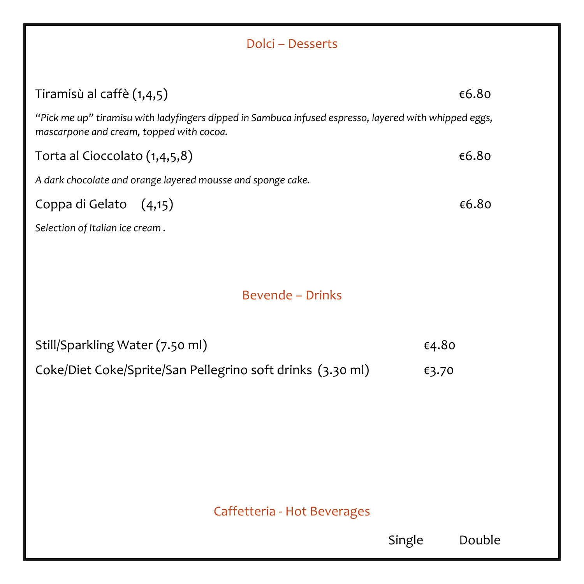| Dolci - Desserts                                                                                                                                  |        |        |  |
|---------------------------------------------------------------------------------------------------------------------------------------------------|--------|--------|--|
| Tiramisù al caffè (1,4,5)                                                                                                                         |        | €6.80  |  |
| "Pick me up" tiramisu with ladyfingers dipped in Sambuca infused espresso, layered with whipped eggs,<br>mascarpone and cream, topped with cocoa. |        |        |  |
| Torta al Cioccolato (1,4,5,8)                                                                                                                     |        | €6.80  |  |
| A dark chocolate and orange layered mousse and sponge cake.                                                                                       |        |        |  |
| Coppa di Gelato<br>(4,15)                                                                                                                         |        | €6.80  |  |
| Selection of Italian ice cream.                                                                                                                   |        |        |  |
|                                                                                                                                                   |        |        |  |
| <b>Bevende - Drinks</b>                                                                                                                           |        |        |  |
| Still/Sparkling Water (7.50 ml)                                                                                                                   | €4.80  |        |  |
| Coke/Diet Coke/Sprite/San Pellegrino soft drinks (3.30 ml)                                                                                        | €3.70  |        |  |
|                                                                                                                                                   |        |        |  |
|                                                                                                                                                   |        |        |  |
|                                                                                                                                                   |        |        |  |
|                                                                                                                                                   |        |        |  |
|                                                                                                                                                   |        |        |  |
| Caffetteria - Hot Beverages                                                                                                                       |        |        |  |
|                                                                                                                                                   | Single | Double |  |
|                                                                                                                                                   |        |        |  |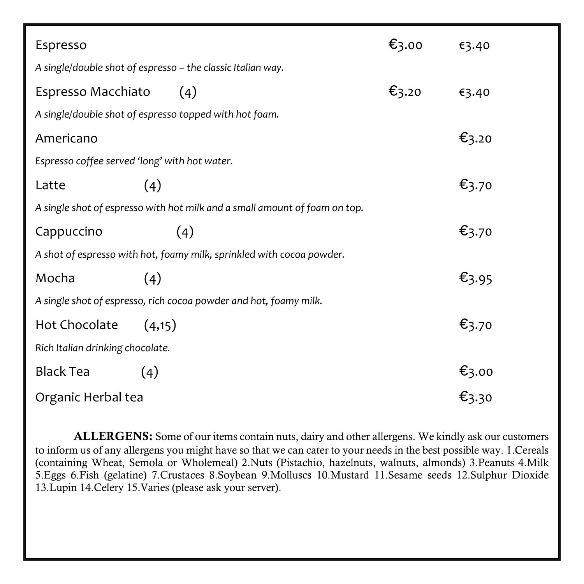| Espresso                                                          |                                                                            | $\epsilon_{3.00}$ | €3.40                                  |
|-------------------------------------------------------------------|----------------------------------------------------------------------------|-------------------|----------------------------------------|
|                                                                   | A single/double shot of espresso - the classic Italian way.                |                   |                                        |
| Espresso Macchiato                                                | (4)                                                                        | $\epsilon_{3.20}$ | €3.40                                  |
|                                                                   | A single/double shot of espresso topped with hot foam.                     |                   |                                        |
| Americano                                                         |                                                                            |                   | €3.20                                  |
| Espresso coffee served 'long' with hot water.                     |                                                                            |                   |                                        |
| Latte                                                             | (4)                                                                        |                   | $\epsilon_{3.70}$                      |
|                                                                   | A single shot of espresso with hot milk and a small amount of foam on top. |                   |                                        |
| Cappuccino                                                        | (4)                                                                        |                   | $\epsilon_{3.70}$                      |
|                                                                   | A shot of espresso with hot, foamy milk, sprinkled with cocoa powder.      |                   |                                        |
| Mocha                                                             | (4)                                                                        |                   | €3.95                                  |
| A single shot of espresso, rich cocoa powder and hot, foamy milk. |                                                                            |                   |                                        |
| Hot Chocolate                                                     | (4,15)                                                                     |                   | €3.70                                  |
| Rich Italian drinking chocolate.                                  |                                                                            |                   |                                        |
| <b>Black Tea</b>                                                  | (4)                                                                        |                   |                                        |
| Organic Herbal tea                                                |                                                                            |                   | $\epsilon_{3.00}$<br>$\epsilon_{3.30}$ |

ALLERGENS: Some of our items contain nuts, dairy and other allergens. We kindly ask our customers to inform us of any allergens you might have so that we can cater to your needs in the best possible way. 1.Cereals (containing Wheat, Semola or Wholemeal) 2.Nuts (Pistachio, hazelnuts, walnuts, almonds) 3.Peanuts 4.Milk 5.Eggs 6.Fish (gelatine) 7.Crustaces 8.Soybean 9.Molluscs 10.Mustard 11.Sesame seeds 12.Sulphur Dioxide 13.Lupin 14.Celery 15.Varies (please ask your server).